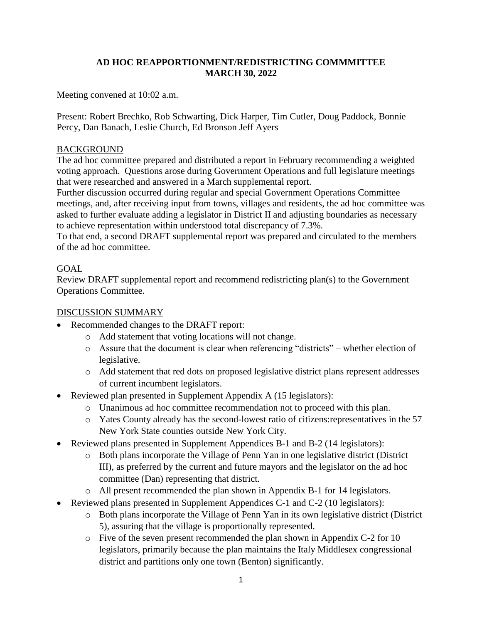### **AD HOC REAPPORTIONMENT/REDISTRICTING COMMMITTEE MARCH 30, 2022**

Meeting convened at 10:02 a.m.

Present: Robert Brechko, Rob Schwarting, Dick Harper, Tim Cutler, Doug Paddock, Bonnie Percy, Dan Banach, Leslie Church, Ed Bronson Jeff Ayers

#### BACKGROUND

The ad hoc committee prepared and distributed a report in February recommending a weighted voting approach. Questions arose during Government Operations and full legislature meetings that were researched and answered in a March supplemental report.

Further discussion occurred during regular and special Government Operations Committee meetings, and, after receiving input from towns, villages and residents, the ad hoc committee was asked to further evaluate adding a legislator in District II and adjusting boundaries as necessary to achieve representation within understood total discrepancy of 7.3%.

To that end, a second DRAFT supplemental report was prepared and circulated to the members of the ad hoc committee.

### GOAL

Review DRAFT supplemental report and recommend redistricting plan(s) to the Government Operations Committee.

### DISCUSSION SUMMARY

- Recommended changes to the DRAFT report:
	- o Add statement that voting locations will not change.
	- o Assure that the document is clear when referencing "districts" whether election of legislative.
	- o Add statement that red dots on proposed legislative district plans represent addresses of current incumbent legislators.
- Reviewed plan presented in Supplement Appendix A (15 legislators):
	- o Unanimous ad hoc committee recommendation not to proceed with this plan.
	- o Yates County already has the second-lowest ratio of citizens:representatives in the 57 New York State counties outside New York City.
- Reviewed plans presented in Supplement Appendices B-1 and B-2 (14 legislators):
	- o Both plans incorporate the Village of Penn Yan in one legislative district (District III), as preferred by the current and future mayors and the legislator on the ad hoc committee (Dan) representing that district.
	- o All present recommended the plan shown in Appendix B-1 for 14 legislators.
- Reviewed plans presented in Supplement Appendices C-1 and C-2 (10 legislators):
	- o Both plans incorporate the Village of Penn Yan in its own legislative district (District 5), assuring that the village is proportionally represented.
	- o Five of the seven present recommended the plan shown in Appendix C-2 for 10 legislators, primarily because the plan maintains the Italy Middlesex congressional district and partitions only one town (Benton) significantly.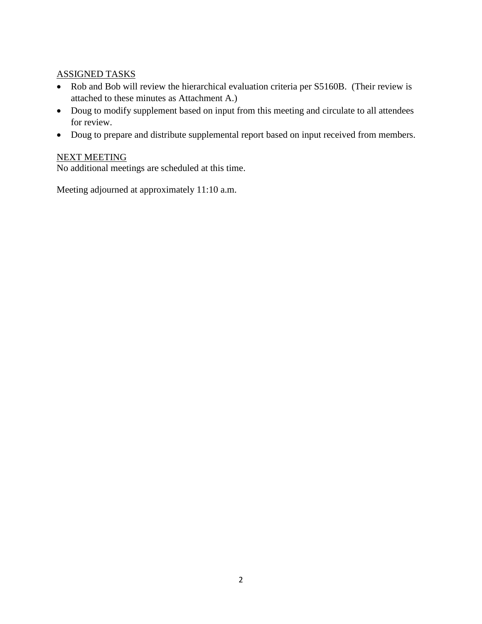## ASSIGNED TASKS

- Rob and Bob will review the hierarchical evaluation criteria per S5160B. (Their review is attached to these minutes as Attachment A.)
- Doug to modify supplement based on input from this meeting and circulate to all attendees for review.
- Doug to prepare and distribute supplemental report based on input received from members.

# NEXT MEETING

No additional meetings are scheduled at this time.

Meeting adjourned at approximately 11:10 a.m.